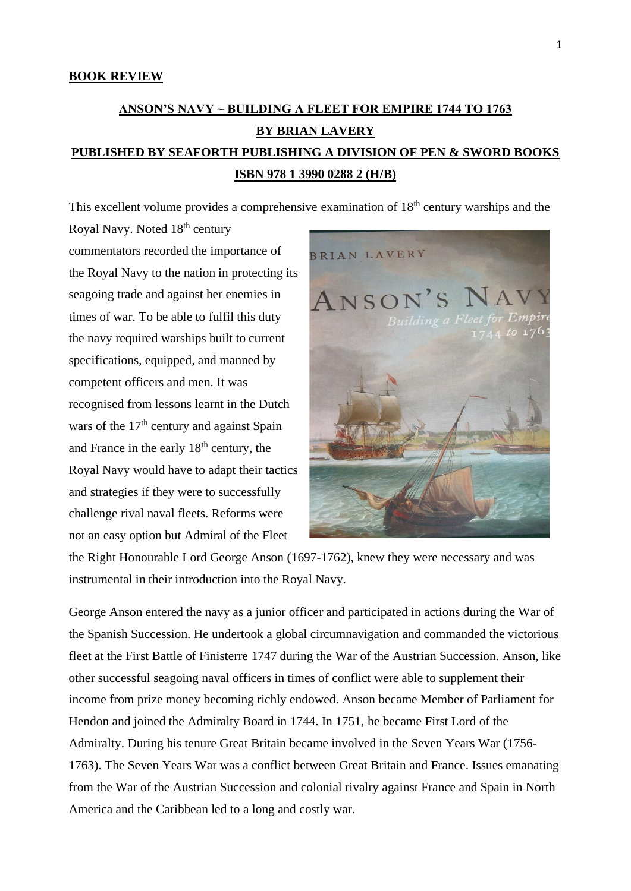## **BOOK REVIEW**

## **ANSON'S NAVY ~ BUILDING A FLEET FOR EMPIRE 1744 TO 1763 BY BRIAN LAVERY PUBLISHED BY SEAFORTH PUBLISHING A DIVISION OF PEN & SWORD BOOKS ISBN 978 1 3990 0288 2 (H/B)**

This excellent volume provides a comprehensive examination of 18<sup>th</sup> century warships and the

Royal Navy. Noted 18th century commentators recorded the importance of the Royal Navy to the nation in protecting its seagoing trade and against her enemies in times of war. To be able to fulfil this duty the navy required warships built to current specifications, equipped, and manned by competent officers and men. It was recognised from lessons learnt in the Dutch wars of the  $17<sup>th</sup>$  century and against Spain and France in the early  $18<sup>th</sup>$  century, the Royal Navy would have to adapt their tactics and strategies if they were to successfully challenge rival naval fleets. Reforms were not an easy option but Admiral of the Fleet



the Right Honourable Lord George Anson (1697-1762), knew they were necessary and was instrumental in their introduction into the Royal Navy.

George Anson entered the navy as a junior officer and participated in actions during the War of the Spanish Succession. He undertook a global circumnavigation and commanded the victorious fleet at the First Battle of Finisterre 1747 during the War of the Austrian Succession. Anson, like other successful seagoing naval officers in times of conflict were able to supplement their income from prize money becoming richly endowed. Anson became Member of Parliament for Hendon and joined the Admiralty Board in 1744. In 1751, he became First Lord of the Admiralty. During his tenure Great Britain became involved in the Seven Years War (1756- 1763). The Seven Years War was a conflict between Great Britain and France. Issues emanating from the War of the Austrian Succession and colonial rivalry against France and Spain in North America and the Caribbean led to a long and costly war.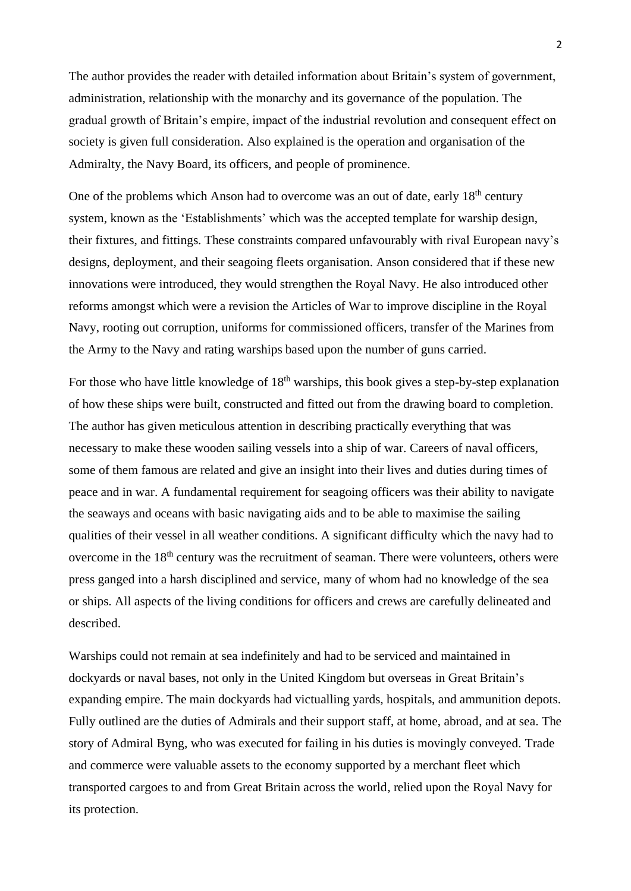The author provides the reader with detailed information about Britain's system of government, administration, relationship with the monarchy and its governance of the population. The gradual growth of Britain's empire, impact of the industrial revolution and consequent effect on society is given full consideration. Also explained is the operation and organisation of the Admiralty, the Navy Board, its officers, and people of prominence.

One of the problems which Anson had to overcome was an out of date, early  $18<sup>th</sup>$  century system, known as the 'Establishments' which was the accepted template for warship design, their fixtures, and fittings. These constraints compared unfavourably with rival European navy's designs, deployment, and their seagoing fleets organisation. Anson considered that if these new innovations were introduced, they would strengthen the Royal Navy. He also introduced other reforms amongst which were a revision the Articles of War to improve discipline in the Royal Navy, rooting out corruption, uniforms for commissioned officers, transfer of the Marines from the Army to the Navy and rating warships based upon the number of guns carried.

For those who have little knowledge of  $18<sup>th</sup>$  warships, this book gives a step-by-step explanation of how these ships were built, constructed and fitted out from the drawing board to completion. The author has given meticulous attention in describing practically everything that was necessary to make these wooden sailing vessels into a ship of war. Careers of naval officers, some of them famous are related and give an insight into their lives and duties during times of peace and in war. A fundamental requirement for seagoing officers was their ability to navigate the seaways and oceans with basic navigating aids and to be able to maximise the sailing qualities of their vessel in all weather conditions. A significant difficulty which the navy had to overcome in the 18<sup>th</sup> century was the recruitment of seaman. There were volunteers, others were press ganged into a harsh disciplined and service, many of whom had no knowledge of the sea or ships. All aspects of the living conditions for officers and crews are carefully delineated and described.

Warships could not remain at sea indefinitely and had to be serviced and maintained in dockyards or naval bases, not only in the United Kingdom but overseas in Great Britain's expanding empire. The main dockyards had victualling yards, hospitals, and ammunition depots. Fully outlined are the duties of Admirals and their support staff, at home, abroad, and at sea. The story of Admiral Byng, who was executed for failing in his duties is movingly conveyed. Trade and commerce were valuable assets to the economy supported by a merchant fleet which transported cargoes to and from Great Britain across the world, relied upon the Royal Navy for its protection.